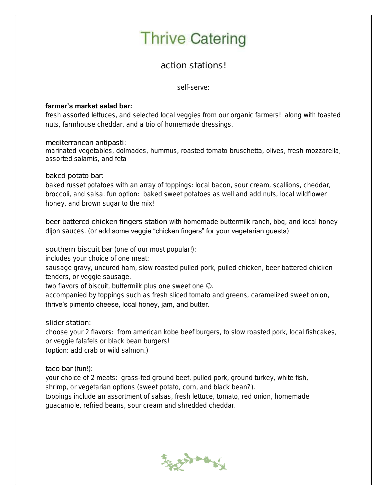## **Thrive Catering**

action stations!

self-serve:

## farmer's market salad bar:

fresh assorted lettuces, and selected local veggies from our organic farmers! along with toasted nuts, farmhouse cheddar, and a trio of homemade dressings.

mediterranean antipasti:

marinated vegetables, dolmades, hummus, roasted tomato bruschetta, olives, fresh mozzarella, assorted salamis, and feta

baked potato bar:

baked russet potatoes with an array of toppings: local bacon, sour cream, scallions, cheddar, broccoli, and salsa. fun option: baked sweet potatoes as well and add nuts, local wildflower honey, and brown sugar to the mix!

beer battered chicken fingers station with homemade buttermilk ranch, bbq, and local honey dijon sauces. (or add some veggie "chicken fingers" for your vegetarian guests)

southern biscuit bar (one of our most popular!):

includes your choice of one meat:

sausage gravy, uncured ham, slow roasted pulled pork, pulled chicken, beer battered chicken tenders, or veggie sausage.

two flavors of biscuit, buttermilk plus one sweet one  $\odot$ .

accompanied by toppings such as fresh sliced tomato and greens, caramelized sweet onion, thrive's pimento cheese, local honey, jam, and butter.

slider station:

choose your 2 flavors: from american kobe beef burgers, to slow roasted pork, local fishcakes, or veggie falafels or black bean burgers! (option: add crab or wild salmon.)

taco bar (fun!):

your choice of 2 meats: grass-fed ground beef, pulled pork, ground turkey, white fish, shrimp, or vegetarian options (sweet potato, corn, and black bean?). toppings include an assortment of salsas, fresh lettuce, tomato, red onion, homemade guacamole, refried beans, sour cream and shredded cheddar.

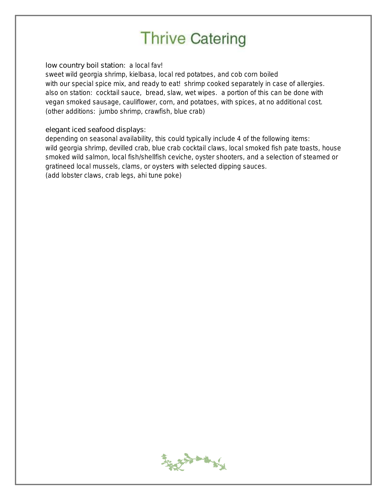## **Thrive Catering**

low country boil station: a local fav!

sweet wild georgia shrimp, kielbasa, local red potatoes, and cob corn boiled with our special spice mix, and ready to eat! shrimp cooked separately in case of allergies. also on station: cocktail sauce, bread, slaw, wet wipes. a portion of this can be done with vegan smoked sausage, cauliflower, corn, and potatoes, with spices, at no additional cost. (other additions: jumbo shrimp, crawfish, blue crab)

elegant iced seafood displays:

depending on seasonal availability, this could typically include 4 of the following items: wild georgia shrimp, devilled crab, blue crab cocktail claws, local smoked fish pate toasts, house smoked wild salmon, local fish/shellfish ceviche, oyster shooters, and a selection of steamed or gratineed local mussels, clams, or oysters with selected dipping sauces. (add lobster claws, crab legs, ahi tune poke)